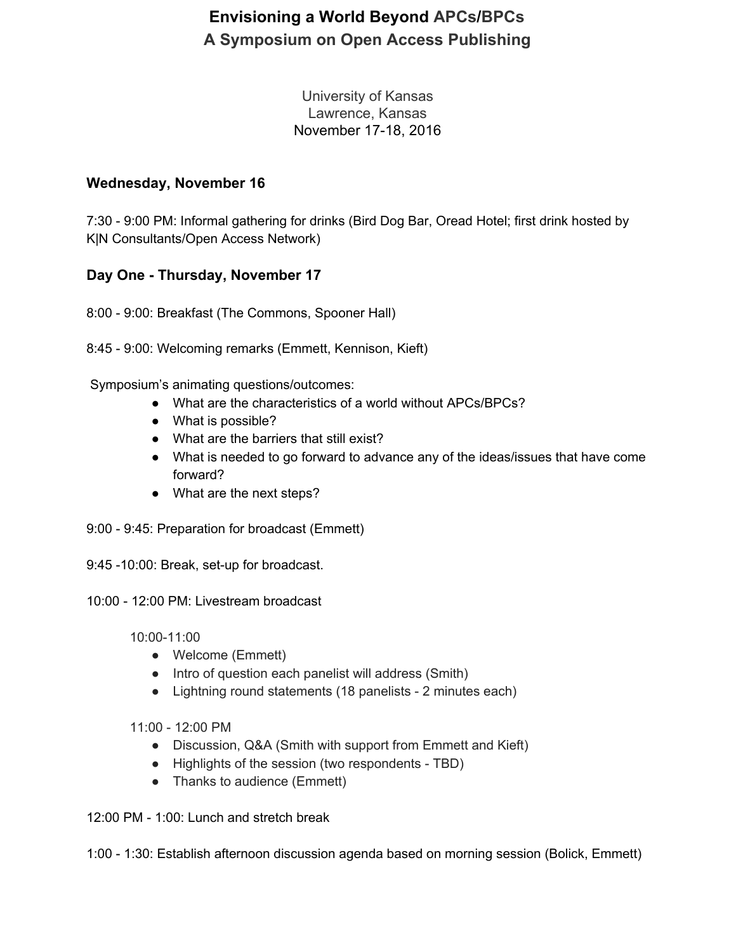# **Envisioning a World Beyond APCs/BPCs A Symposium on Open Access Publishing**

University of Kansas Lawrence, Kansas November 17-18, 2016

### **Wednesday, November 16**

7:30 - 9:00 PM: Informal gathering for drinks (Bird Dog Bar, Oread Hotel; first drink hosted by K|N Consultants/Open Access Network)

### **Day One - Thursday, November 17**

8:00 - 9:00: Breakfast (The Commons, Spooner Hall)

8:45 - 9:00: Welcoming remarks (Emmett, Kennison, Kieft)

Symposium's animating questions/outcomes:

- What are the characteristics of a world without APCs/BPCs?
- What is possible?
- What are the barriers that still exist?
- What is needed to go forward to advance any of the ideas/issues that have come forward?
- What are the next steps?
- 9:00 9:45: Preparation for broadcast (Emmett)

9:45 -10:00: Break, set-up for broadcast.

10:00 - 12:00 PM: Livestream broadcast

10:00-11:00

- Welcome (Emmett)
- Intro of question each panelist will address (Smith)
- Lightning round statements (18 panelists 2 minutes each)

11:00 - 12:00 PM

- Discussion, Q&A (Smith with support from Emmett and Kieft)
- Highlights of the session (two respondents TBD)
- Thanks to audience (Emmett)

12:00 PM - 1:00: Lunch and stretch break

1:00 - 1:30: Establish afternoon discussion agenda based on morning session (Bolick, Emmett)